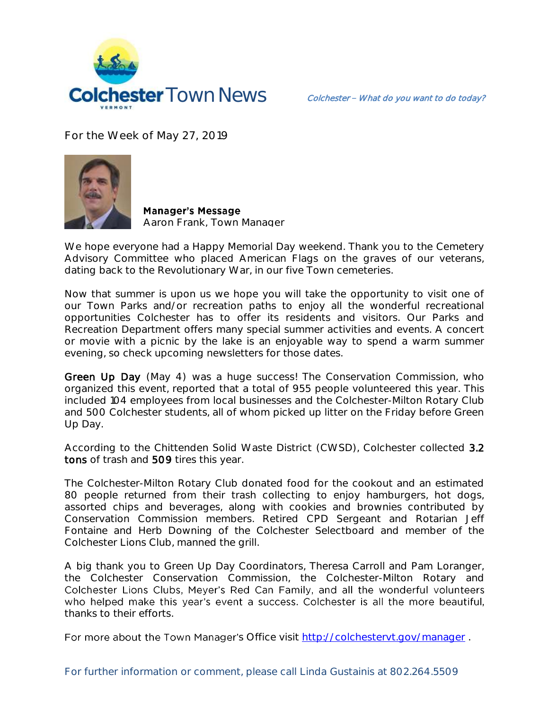

**For the Week of May 27, 2019**



**Manager's Message Aaron Frank, Town Manager**

We hope everyone had a Happy Memorial Day weekend. Thank you to the Cemetery Advisory Committee who placed American Flags on the graves of our veterans, dating back to the Revolutionary War, in our five Town cemeteries.

Now that summer is upon us we hope you will take the opportunity to visit one of our Town Parks and/or recreation paths to enjoy all the wonderful recreational opportunities Colchester has to offer its residents and visitors. Our Parks and Recreation Department offers many special summer activities and events. A concert or movie with a picnic by the lake is an enjoyable way to spend a warm summer evening, so check upcoming newsletters for those dates.

Green Up Day (May 4) was a huge success! The Conservation Commission, who organized this event, reported that a total of 955 people volunteered this year. This included 104 employees from local businesses and the Colchester-Milton Rotary Club and 500 Colchester students, all of whom picked up litter on the Friday before Green Up Day.

According to the Chittenden Solid Waste District (CWSD), Colchester collected 3.2 tons of trash and 509 tires this year.

The Colchester-Milton Rotary Club donated food for the cookout and an estimated 80 people returned from their trash collecting to enjoy hamburgers, hot dogs, assorted chips and beverages, along with cookies and brownies contributed by Conservation Commission members. Retired CPD Sergeant and Rotarian Jeff Fontaine and Herb Downing of the Colchester Selectboard and member of the Colchester Lions Club, manned the grill.

A big thank you to Green Up Day Coordinators, Theresa Carroll and Pam Loranger, the Colchester Conservation Commission, the Colchester-Milton Rotary and Colchester Lions Clubs, Meyer's Red Can Family, and all the wonderful volunteers who helped make this year's event a success. Colchester is all the more beautiful, thanks to their efforts.

For more about the Town Manager's Office visit<http://colchestervt.gov/manager>.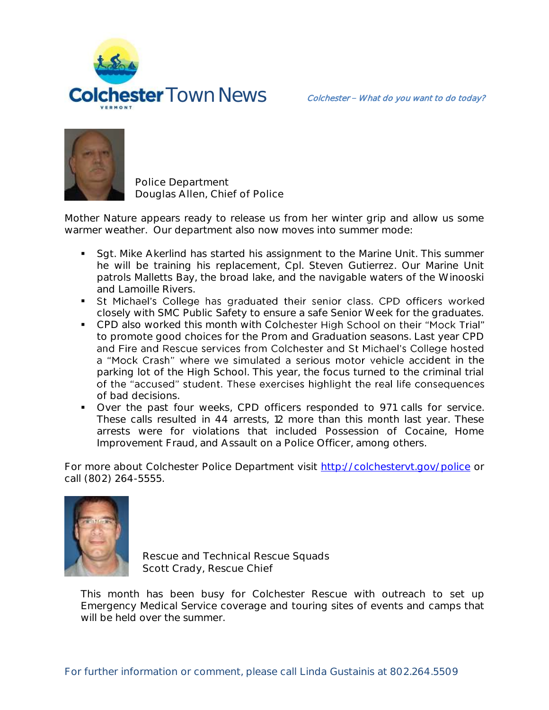



**Police Department Douglas Allen, Chief of Police** 

Mother Nature appears ready to release us from her winter grip and allow us some warmer weather. Our department also now moves into summer mode:

- Sgt. Mike Akerlind has started his assignment to the Marine Unit. This summer he will be training his replacement, Cpl. Steven Gutierrez. Our Marine Unit patrols Malletts Bay, the broad lake, and the navigable waters of the Winooski and Lamoille Rivers.
- St Michael's College has graduated their senior class. CPD officers worked closely with SMC Public Safety to ensure a safe Senior Week for the graduates.
- CPD also worked this month with Colchester High School on their "Mock Trial" to promote good choices for the Prom and Graduation seasons. Last year CPD and Fire and Rescue services from Colchester and St Michael's College hosted a "Mock Crash" where we simulated a serious motor vehicle accident in the parking lot of the High School. This year, the focus turned to the criminal trial of the "accused" student. These exercises highlight the real life consequences of bad decisions.
- Over the past four weeks, CPD officers responded to 971 calls for service. These calls resulted in 44 arrests, 12 more than this month last year. These arrests were for violations that included Possession of Cocaine, Home Improvement Fraud, and Assault on a Police Officer, among others.

For more about Colchester Police Department visit<http://colchestervt.gov/police> or call (802) 264-5555.



**Rescue and Technical Rescue Squads Scott Crady, Rescue Chief**

This month has been busy for Colchester Rescue with outreach to set up Emergency Medical Service coverage and touring sites of events and camps that will be held over the summer.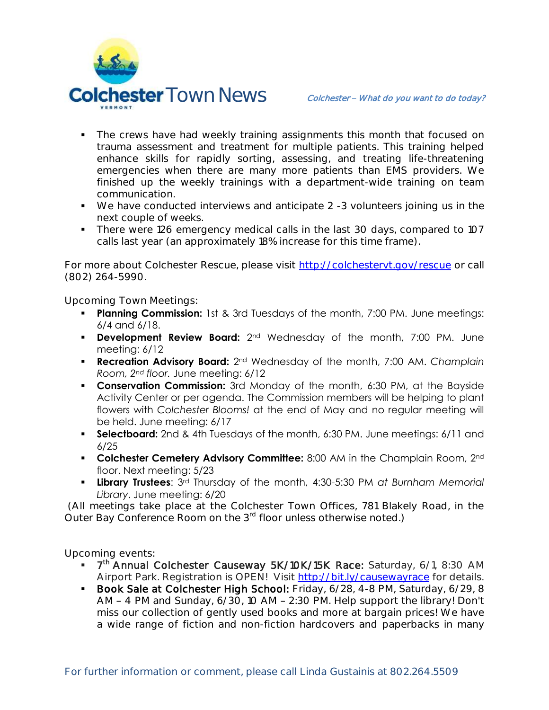

- The crews have had weekly training assignments this month that focused on trauma assessment and treatment for multiple patients. This training helped enhance skills for rapidly sorting, assessing, and treating life-threatening emergencies when there are many more patients than EMS providers. We finished up the weekly trainings with a department-wide training on team communication.
- We have conducted interviews and anticipate 2 -3 volunteers joining us in the next couple of weeks.
- There were 126 emergency medical calls in the last 30 days, compared to 107 calls last year (an approximately 18% increase for this time frame).

For more about Colchester Rescue, please visit [http://colchestervt.gov/rescue](http://colchestervt.gov/rescue/index.shtml) or call (802) 264-5990.

**Upcoming Town Meetings:** 

- **Planning Commission:** 1st & 3rd Tuesdays of the month, 7:00 PM. June meetings: 6/4 and 6/18.
- **Development Review Board:** 2<sup>nd</sup> Wednesday of the month, 7:00 PM. June meeting: 6/12
- **Recreation Advisory Board:** 2nd Wednesday of the month, 7:00 AM. *Champlain Room, 2nd floor.* June meeting: 6/12
- **Conservation Commission:** 3rd Monday of the month, 6:30 PM, at the Bayside Activity Center or per agenda. The Commission members will be helping to plant flowers with *Colchester Blooms!* at the end of May and no regular meeting will be held. June meeting: 6/17
- **Selectboard:** 2nd & 4th Tuesdays of the month, 6:30 PM. June meetings: 6/11 and 6/25
- **Colchester Cemetery Advisory Committee:** 8:00 AM in the Champlain Room, 2nd floor. Next meeting: 5/23
- **Library Trustees**: 3rd Thursday of the month, 4:30-5:30 PM *at Burnham Memorial Library*. June meeting: 6/20

(All meetings take place at the Colchester Town Offices, 781 Blakely Road, in the Outer Bay Conference Room on the 3<sup>rd</sup> floor unless otherwise noted.)

**Upcoming events:** 

- 7<sup>th</sup> Annual Colchester Causeway 5K/10K/15K Race: Saturday, 6/1, 8:30 AM Airport Park. Registration is OPEN! Visit <http://bit.ly/causewayrace> for details.
- Book Sale at Colchester High School: Friday, 6/28, 4-8 PM, Saturday, 6/29, 8 AM - 4 PM and Sunday, 6/30, 10 AM - 2:30 PM. Help support the library! Don't miss our collection of gently used books and more at bargain prices! We have a wide range of fiction and non-fiction hardcovers and paperbacks in many